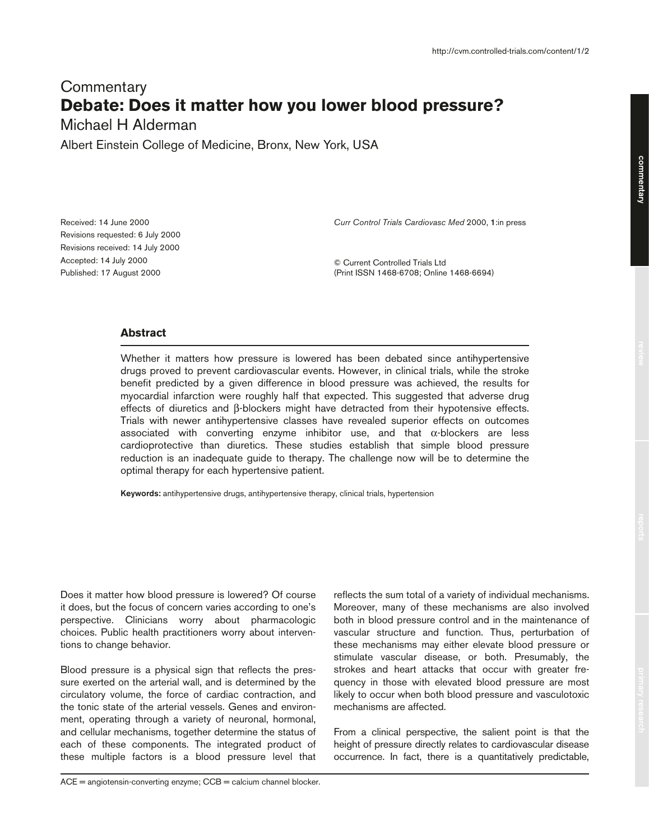## **Commentary Debate: Does it matter how you lower blood pressure?**

Michael H Alderman

Albert Einstein College of Medicine, Bronx, New York, USA

Received: 14 June 2000 Revisions requested: 6 July 2000 Revisions received: 14 July 2000 Accepted: 14 July 2000 Published: 17 August 2000

*Curr Control Trials Cardiovasc Med* 2000, **1**:in press

© Current Controlled Trials Ltd (Print ISSN 1468-6708; Online 1468-6694)

## **Abstract**

Whether it matters how pressure is lowered has been debated since antihypertensive drugs proved to prevent cardiovascular events. However, in clinical trials, while the stroke benefit predicted by a given difference in blood pressure was achieved, the results for myocardial infarction were roughly half that expected. This suggested that adverse drug effects of diuretics and β-blockers might have detracted from their hypotensive effects. Trials with newer antihypertensive classes have revealed superior effects on outcomes associated with converting enzyme inhibitor use, and that  $\alpha$ -blockers are less cardioprotective than diuretics. These studies establish that simple blood pressure reduction is an inadequate guide to therapy. The challenge now will be to determine the optimal therapy for each hypertensive patient.

**Keywords:** antihypertensive drugs, antihypertensive therapy, clinical trials, hypertension

Does it matter how blood pressure is lowered? Of course it does, but the focus of concern varies according to one's perspective. Clinicians worry about pharmacologic choices. Public health practitioners worry about interventions to change behavior.

Blood pressure is a physical sign that reflects the pressure exerted on the arterial wall, and is determined by the circulatory volume, the force of cardiac contraction, and the tonic state of the arterial vessels. Genes and environment, operating through a variety of neuronal, hormonal, and cellular mechanisms, together determine the status of each of these components. The integrated product of these multiple factors is a blood pressure level that

 $ACE = angiotensin-converting enzyme; CCB = calcium channel blocker.$ 

reflects the sum total of a variety of individual mechanisms. Moreover, many of these mechanisms are also involved both in blood pressure control and in the maintenance of vascular structure and function. Thus, perturbation of these mechanisms may either elevate blood pressure or stimulate vascular disease, or both. Presumably, the strokes and heart attacks that occur with greater frequency in those with elevated blood pressure are most likely to occur when both blood pressure and vasculotoxic mechanisms are affected.

From a clinical perspective, the salient point is that the height of pressure directly relates to cardiovascular disease occurrence. In fact, there is a quantitatively predictable,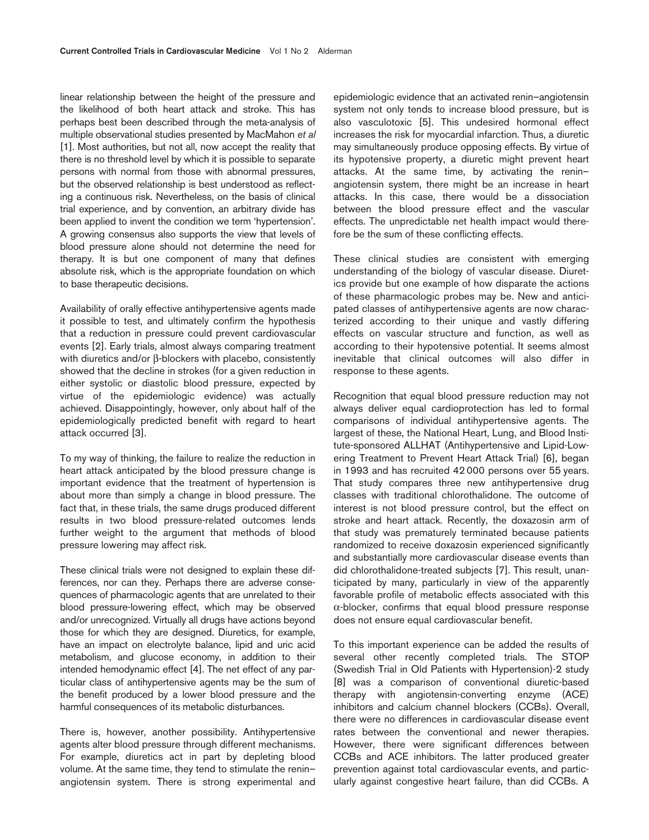linear relationship between the height of the pressure and the likelihood of both heart attack and stroke. This has perhaps best been described through the meta-analysis of multiple observational studies presented by MacMahon *et al* [1]. Most authorities, but not all, now accept the reality that there is no threshold level by which it is possible to separate persons with normal from those with abnormal pressures, but the observed relationship is best understood as reflecting a continuous risk. Nevertheless, on the basis of clinical trial experience, and by convention, an arbitrary divide has been applied to invent the condition we term 'hypertension'. A growing consensus also supports the view that levels of blood pressure alone should not determine the need for therapy. It is but one component of many that defines absolute risk, which is the appropriate foundation on which to base therapeutic decisions.

Availability of orally effective antihypertensive agents made it possible to test, and ultimately confirm the hypothesis that a reduction in pressure could prevent cardiovascular events [2]. Early trials, almost always comparing treatment with diuretics and/or β-blockers with placebo, consistently showed that the decline in strokes (for a given reduction in either systolic or diastolic blood pressure, expected by virtue of the epidemiologic evidence) was actually achieved. Disappointingly, however, only about half of the epidemiologically predicted benefit with regard to heart attack occurred [3].

To my way of thinking, the failure to realize the reduction in heart attack anticipated by the blood pressure change is important evidence that the treatment of hypertension is about more than simply a change in blood pressure. The fact that, in these trials, the same drugs produced different results in two blood pressure-related outcomes lends further weight to the argument that methods of blood pressure lowering may affect risk.

These clinical trials were not designed to explain these differences, nor can they. Perhaps there are adverse consequences of pharmacologic agents that are unrelated to their blood pressure-lowering effect, which may be observed and/or unrecognized. Virtually all drugs have actions beyond those for which they are designed. Diuretics, for example, have an impact on electrolyte balance, lipid and uric acid metabolism, and glucose economy, in addition to their intended hemodynamic effect [4]. The net effect of any particular class of antihypertensive agents may be the sum of the benefit produced by a lower blood pressure and the harmful consequences of its metabolic disturbances.

There is, however, another possibility. Antihypertensive agents alter blood pressure through different mechanisms. For example, diuretics act in part by depleting blood volume. At the same time, they tend to stimulate the renin– angiotensin system. There is strong experimental and epidemiologic evidence that an activated renin–angiotensin system not only tends to increase blood pressure, but is also vasculotoxic [5]. This undesired hormonal effect increases the risk for myocardial infarction. Thus, a diuretic may simultaneously produce opposing effects. By virtue of its hypotensive property, a diuretic might prevent heart attacks. At the same time, by activating the renin– angiotensin system, there might be an increase in heart attacks. In this case, there would be a dissociation between the blood pressure effect and the vascular effects. The unpredictable net health impact would therefore be the sum of these conflicting effects.

These clinical studies are consistent with emerging understanding of the biology of vascular disease. Diuretics provide but one example of how disparate the actions of these pharmacologic probes may be. New and anticipated classes of antihypertensive agents are now characterized according to their unique and vastly differing effects on vascular structure and function, as well as according to their hypotensive potential. It seems almost inevitable that clinical outcomes will also differ in response to these agents.

Recognition that equal blood pressure reduction may not always deliver equal cardioprotection has led to formal comparisons of individual antihypertensive agents. The largest of these, the National Heart, Lung, and Blood Institute-sponsored ALLHAT (Antihypertensive and Lipid-Lowering Treatment to Prevent Heart Attack Trial) [6], began in 1993 and has recruited 42 000 persons over 55 years. That study compares three new antihypertensive drug classes with traditional chlorothalidone. The outcome of interest is not blood pressure control, but the effect on stroke and heart attack. Recently, the doxazosin arm of that study was prematurely terminated because patients randomized to receive doxazosin experienced significantly and substantially more cardiovascular disease events than did chlorothalidone-treated subjects [7]. This result, unanticipated by many, particularly in view of the apparently favorable profile of metabolic effects associated with this α-blocker, confirms that equal blood pressure response does not ensure equal cardiovascular benefit.

To this important experience can be added the results of several other recently completed trials. The STOP (Swedish Trial in Old Patients with Hypertension)-2 study [8] was a comparison of conventional diuretic-based therapy with angiotensin-converting enzyme (ACE) inhibitors and calcium channel blockers (CCBs). Overall, there were no differences in cardiovascular disease event rates between the conventional and newer therapies. However, there were significant differences between CCBs and ACE inhibitors. The latter produced greater prevention against total cardiovascular events, and particularly against congestive heart failure, than did CCBs. A